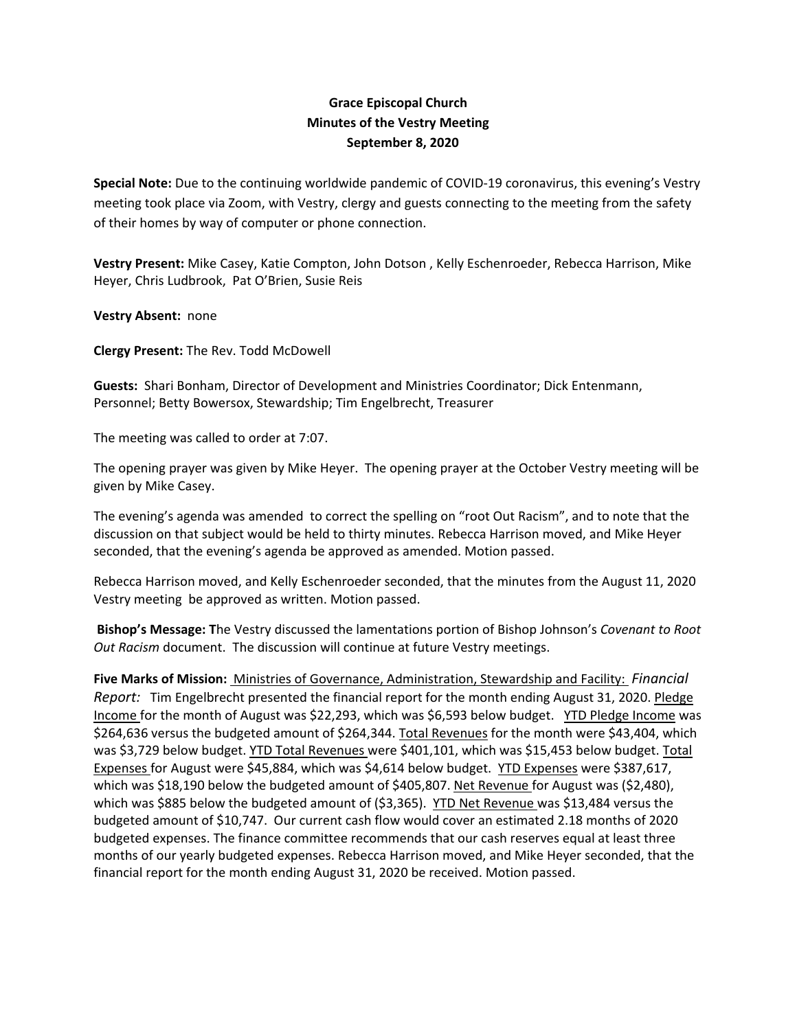## **Grace Episcopal Church Minutes of the Vestry Meeting September 8, 2020**

**Special Note:** Due to the continuing worldwide pandemic of COVID‐19 coronavirus, this evening's Vestry meeting took place via Zoom, with Vestry, clergy and guests connecting to the meeting from the safety of their homes by way of computer or phone connection.

**Vestry Present:** Mike Casey, Katie Compton, John Dotson , Kelly Eschenroeder, Rebecca Harrison, Mike Heyer, Chris Ludbrook, Pat O'Brien, Susie Reis

**Vestry Absent:** none

**Clergy Present:** The Rev. Todd McDowell

**Guests:** Shari Bonham, Director of Development and Ministries Coordinator; Dick Entenmann, Personnel; Betty Bowersox, Stewardship; Tim Engelbrecht, Treasurer

The meeting was called to order at 7:07.

The opening prayer was given by Mike Heyer. The opening prayer at the October Vestry meeting will be given by Mike Casey.

The evening's agenda was amended to correct the spelling on "root Out Racism", and to note that the discussion on that subject would be held to thirty minutes. Rebecca Harrison moved, and Mike Heyer seconded, that the evening's agenda be approved as amended. Motion passed.

Rebecca Harrison moved, and Kelly Eschenroeder seconded, that the minutes from the August 11, 2020 Vestry meeting be approved as written. Motion passed.

**Bishop's Message: T**he Vestry discussed the lamentations portion of Bishop Johnson's *Covenant to Root Out Racism* document. The discussion will continue at future Vestry meetings.

**Five Marks of Mission:** Ministries of Governance, Administration, Stewardship and Facility: *Financial Report:* Tim Engelbrecht presented the financial report for the month ending August 31, 2020. Pledge Income for the month of August was \$22,293, which was \$6,593 below budget. YTD Pledge Income was \$264,636 versus the budgeted amount of \$264,344. Total Revenues for the month were \$43,404, which was \$3,729 below budget. YTD Total Revenues were \$401,101, which was \$15,453 below budget. Total Expenses for August were \$45,884, which was \$4,614 below budget. YTD Expenses were \$387,617, which was \$18,190 below the budgeted amount of \$405,807. Net Revenue for August was (\$2,480), which was \$885 below the budgeted amount of (\$3,365). YTD Net Revenue was \$13,484 versus the budgeted amount of \$10,747. Our current cash flow would cover an estimated 2.18 months of 2020 budgeted expenses. The finance committee recommends that our cash reserves equal at least three months of our yearly budgeted expenses. Rebecca Harrison moved, and Mike Heyer seconded, that the financial report for the month ending August 31, 2020 be received. Motion passed.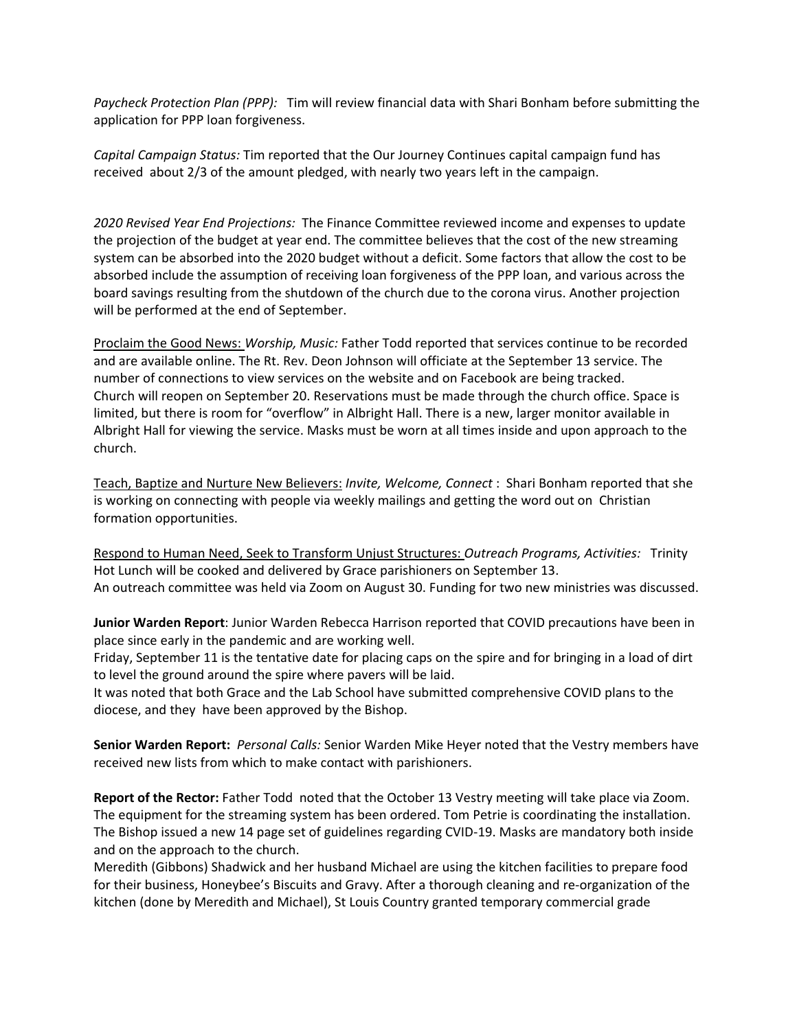*Paycheck Protection Plan (PPP):* Tim will review financial data with Shari Bonham before submitting the application for PPP loan forgiveness.

*Capital Campaign Status:* Tim reported that the Our Journey Continues capital campaign fund has received about 2/3 of the amount pledged, with nearly two years left in the campaign.

*2020 Revised Year End Projections:* The Finance Committee reviewed income and expenses to update the projection of the budget at year end. The committee believes that the cost of the new streaming system can be absorbed into the 2020 budget without a deficit. Some factors that allow the cost to be absorbed include the assumption of receiving loan forgiveness of the PPP loan, and various across the board savings resulting from the shutdown of the church due to the corona virus. Another projection will be performed at the end of September.

Proclaim the Good News: *Worship, Music:* Father Todd reported that services continue to be recorded and are available online. The Rt. Rev. Deon Johnson will officiate at the September 13 service. The number of connections to view services on the website and on Facebook are being tracked. Church will reopen on September 20. Reservations must be made through the church office. Space is limited, but there is room for "overflow" in Albright Hall. There is a new, larger monitor available in Albright Hall for viewing the service. Masks must be worn at all times inside and upon approach to the church.

Teach, Baptize and Nurture New Believers: *Invite, Welcome, Connect* : Shari Bonham reported that she is working on connecting with people via weekly mailings and getting the word out on Christian formation opportunities.

Respond to Human Need, Seek to Transform Unjust Structures: *Outreach Programs, Activities:* Trinity Hot Lunch will be cooked and delivered by Grace parishioners on September 13. An outreach committee was held via Zoom on August 30. Funding for two new ministries was discussed.

**Junior Warden Report**: Junior Warden Rebecca Harrison reported that COVID precautions have been in place since early in the pandemic and are working well.

Friday, September 11 is the tentative date for placing caps on the spire and for bringing in a load of dirt to level the ground around the spire where pavers will be laid.

It was noted that both Grace and the Lab School have submitted comprehensive COVID plans to the diocese, and they have been approved by the Bishop.

**Senior Warden Report:** *Personal Calls:* Senior Warden Mike Heyer noted that the Vestry members have received new lists from which to make contact with parishioners.

**Report of the Rector:** Father Todd noted that the October 13 Vestry meeting will take place via Zoom. The equipment for the streaming system has been ordered. Tom Petrie is coordinating the installation. The Bishop issued a new 14 page set of guidelines regarding CVID‐19. Masks are mandatory both inside and on the approach to the church.

Meredith (Gibbons) Shadwick and her husband Michael are using the kitchen facilities to prepare food for their business, Honeybee's Biscuits and Gravy. After a thorough cleaning and re‐organization of the kitchen (done by Meredith and Michael), St Louis Country granted temporary commercial grade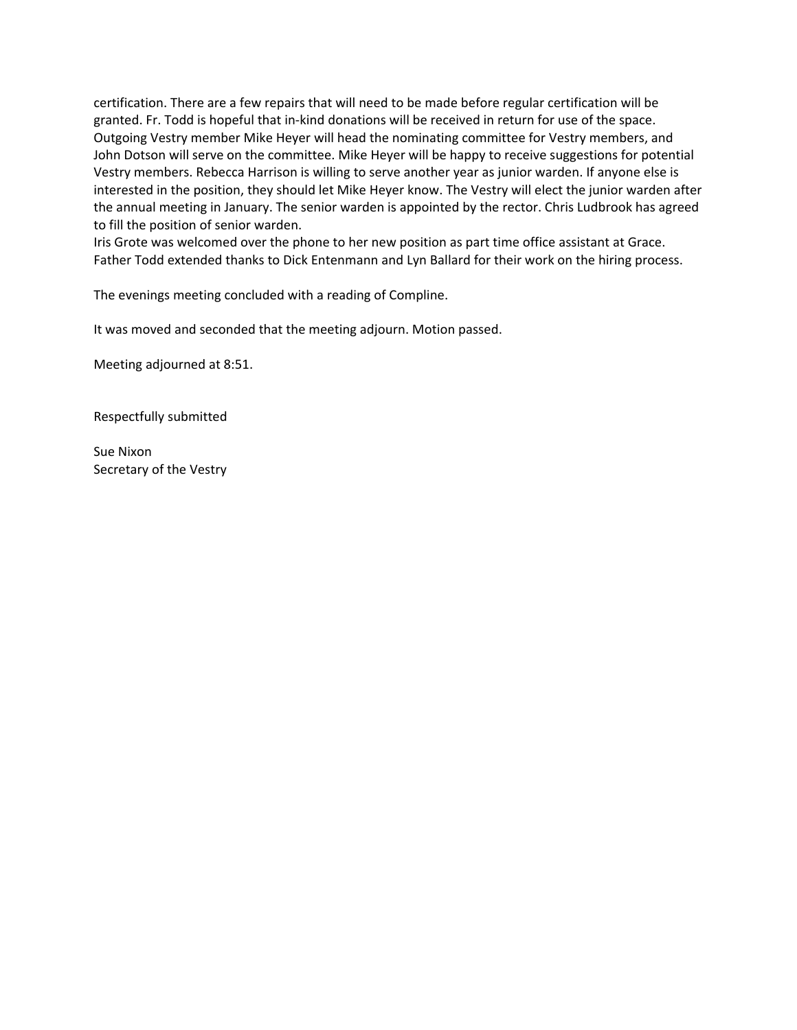certification. There are a few repairs that will need to be made before regular certification will be granted. Fr. Todd is hopeful that in-kind donations will be received in return for use of the space. Outgoing Vestry member Mike Heyer will head the nominating committee for Vestry members, and John Dotson will serve on the committee. Mike Heyer will be happy to receive suggestions for potential Vestry members. Rebecca Harrison is willing to serve another year as junior warden. If anyone else is interested in the position, they should let Mike Heyer know. The Vestry will elect the junior warden after the annual meeting in January. The senior warden is appointed by the rector. Chris Ludbrook has agreed to fill the position of senior warden.

Iris Grote was welcomed over the phone to her new position as part time office assistant at Grace. Father Todd extended thanks to Dick Entenmann and Lyn Ballard for their work on the hiring process.

The evenings meeting concluded with a reading of Compline.

It was moved and seconded that the meeting adjourn. Motion passed.

Meeting adjourned at 8:51.

Respectfully submitted

Sue Nixon Secretary of the Vestry